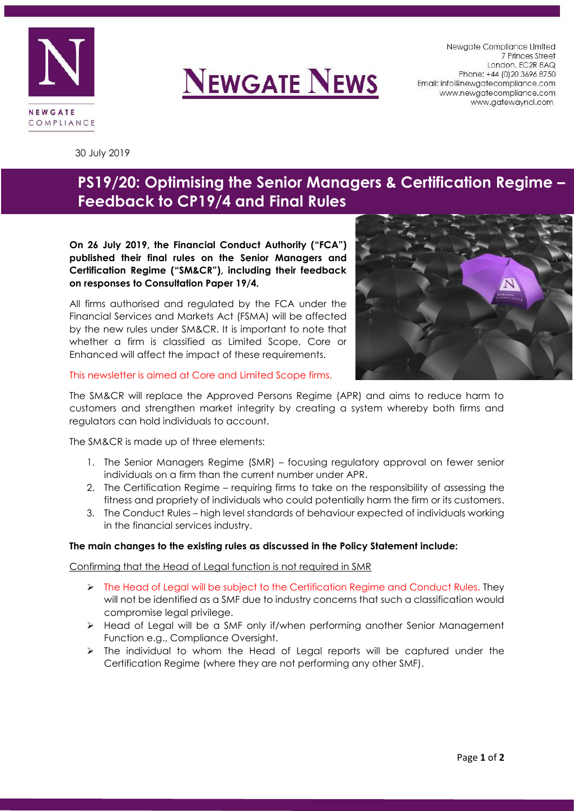

# **NEWGATE NEWS**

Newgate Compliance Limited 7 Princes Street London. EC2R 8AQ Phone: +44 (0) 20 3696 8750 Email: info@newgatecompliance.com www.newgatecompliance.com www.gatewayncl.com

30 July 2019

# **PS19/20: Optimising the Senior Managers & Certification Regime – Feedback to CP19/4 and Final Rules**

**On 26 July 2019, the Financial Conduct Authority ("FCA") published their final rules on the Senior Managers and Certification Regime ("SM&CR"), including their feedback on responses to Consultation Paper 19/4.**

All firms authorised and regulated by the FCA under the Financial Services and Markets Act (FSMA) will be affected by the new rules under SM&CR. It is important to note that whether a firm is classified as Limited Scope, Core or Enhanced will affect the impact of these requirements.



# This newsletter is aimed at Core and Limited Scope firms.

The SM&CR will replace the Approved Persons Regime (APR) and aims to reduce harm to customers and strengthen market integrity by creating a system whereby both firms and regulators can hold individuals to account.

The SM&CR is made up of three elements:

- 1. The Senior Managers Regime (SMR) focusing regulatory approval on fewer senior individuals on a firm than the current number under APR.
- 2. The Certification Regime requiring firms to take on the responsibility of assessing the fitness and propriety of individuals who could potentially harm the firm or its customers.
- 3. The Conduct Rules high level standards of behaviour expected of individuals working in the financial services industry.

# **The main changes to the existing rules as discussed in the Policy Statement include:**

Confirming that the Head of Legal function is not required in SMR

- $\triangleright$  The Head of Legal will be subject to the Certification Regime and Conduct Rules. They will not be identified as a SMF due to industry concerns that such a classification would compromise legal privilege.
- ➢ Head of Legal will be a SMF only if/when performing another Senior Management Function e.g., Compliance Oversight.
- $\triangleright$  The individual to whom the Head of Legal reports will be captured under the Certification Regime (where they are not performing any other SMF).